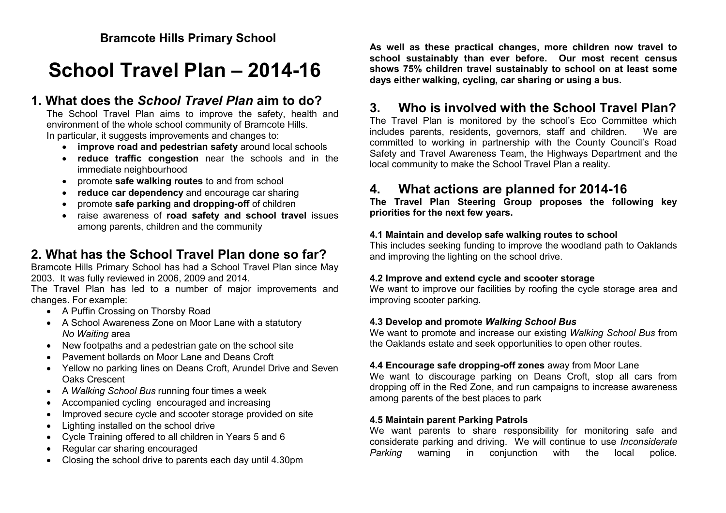# **School Travel Plan – 2014-16**

# **1. What does the** *School Travel Plan* **aim to do?**

The School Travel Plan aims to improve the safety, health and environment of the whole school community of Bramcote Hills. In particular, it suggests improvements and changes to:

- **improve road and pedestrian safety** around local schools
- **reduce traffic congestion** near the schools and in the immediate neighbourhood
- promote **safe walking routes** to and from school
- **reduce car dependency** and encourage car sharing
- promote **safe parking and dropping-off** of children
- raise awareness of **road safety and school travel** issues among parents, children and the community

# **2. What has the School Travel Plan done so far?**

Bramcote Hills Primary School has had a School Travel Plan since May 2003. It was fully reviewed in 2006, 2009 and 2014.

The Travel Plan has led to a number of major improvements and changes. For example:

- A Puffin Crossing on Thorsby Road
- A School Awareness Zone on Moor Lane with a statutory *No Waiting* area
- New footpaths and a pedestrian gate on the school site
- Pavement bollards on Moor Lane and Deans Croft
- Yellow no parking lines on Deans Croft, Arundel Drive and Seven Oaks Crescent
- A *Walking School Bus* running four times a week
- Accompanied cycling encouraged and increasing
- Improved secure cycle and scooter storage provided on site
- Lighting installed on the school drive
- Cycle Training offered to all children in Years 5 and 6
- Regular car sharing encouraged
- Closing the school drive to parents each day until 4.30pm

**As well as these practical changes, more children now travel to school sustainably than ever before. Our most recent census shows 75% children travel sustainably to school on at least some days either walking, cycling, car sharing or using a bus.** 

# **3. Who is involved with the School Travel Plan?**

The Travel Plan is monitored by the school's Eco Committee which includes parents, residents, governors, staff and children. We are committed to working in partnership with the County Council's Road Safety and Travel Awareness Team, the Highways Department and the local community to make the School Travel Plan a reality.

# **4. What actions are planned for 2014-16**

**The Travel Plan Steering Group proposes the following key priorities for the next few years.**

#### **4.1 Maintain and develop safe walking routes to school**

This includes seeking funding to improve the woodland path to Oaklands and improving the lighting on the school drive.

#### **4.2 Improve and extend cycle and scooter storage**

We want to improve our facilities by roofing the cycle storage area and improving scooter parking.

#### **4.3 Develop and promote** *Walking School Bus*

We want to promote and increase our existing *Walking School Bus* from the Oaklands estate and seek opportunities to open other routes.

#### **4.4 Encourage safe dropping-off zones** away from Moor Lane

We want to discourage parking on Deans Croft, stop all cars from dropping off in the Red Zone, and run campaigns to increase awareness among parents of the best places to park

#### **4.5 Maintain parent Parking Patrols**

We want parents to share responsibility for monitoring safe and considerate parking and driving. We will continue to use *Inconsiderate Parking* warning in conjunction with the local police.